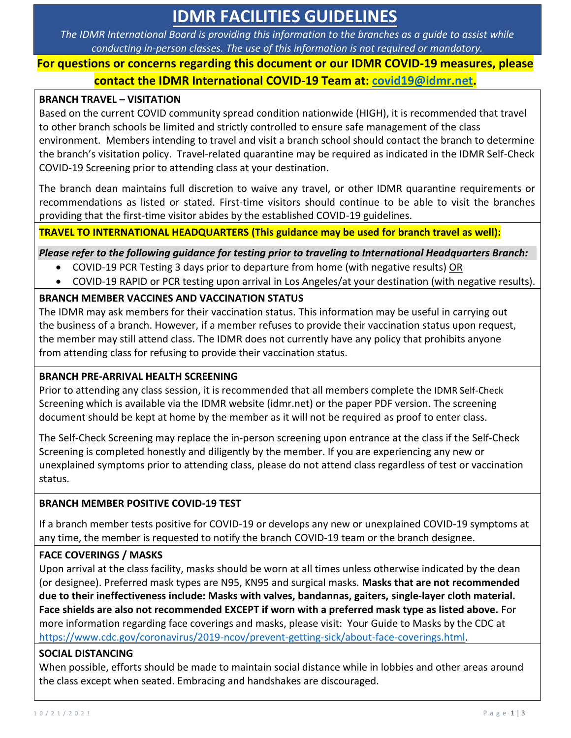# **IDMR FACILITIES GUIDELINES**

*The IDMR International Board is providing this information to the branches as a guide to assist while conducting in-person classes. The use of this information is not required or mandatory.*

# **For questions or concerns regarding this document or our IDMR COVID-19 measures, please contact the IDMR International COVID-19 Team at: covid19@idmr.net.**

### **BRANCH TRAVEL – VISITATION**

Based on the current COVID community spread condition nationwide (HIGH), it is recommended that travel to other branch schools be limited and strictly controlled to ensure safe management of the class environment. Members intending to travel and visit a branch school should contact the branch to determine the branch's visitation policy. Travel-related quarantine may be required as indicated in the IDMR Self-Check COVID-19 Screening prior to attending class at your destination.

The branch dean maintains full discretion to waive any travel, or other IDMR quarantine requirements or recommendations as listed or stated. First-time visitors should continue to be able to visit the branches providing that the first-time visitor abides by the established COVID-19 guidelines.

**TRAVEL TO INTERNATIONAL HEADQUARTERS (This guidance may be used for branch travel as well):**

*Please refer to the following guidance for testing prior to traveling to International Headquarters Branch:*

- COVID-19 PCR Testing 3 days prior to departure from home (with negative results) OR
- COVID-19 RAPID or PCR testing upon arrival in Los Angeles/at your destination (with negative results).

### **BRANCH MEMBER VACCINES AND VACCINATION STATUS**

The IDMR may ask members for their vaccination status. This information may be useful in carrying out the business of a branch. However, if a member refuses to provide their vaccination status upon request, the member may still attend class. The IDMR does not currently have any policy that prohibits anyone from attending class for refusing to provide their vaccination status.

### **BRANCH PRE-ARRIVAL HEALTH SCREENING**

Prior to attending any class session, it is recommended that all members complete the IDMR Self-Check Screening which is available via the IDMR website (idmr.net) or the paper PDF version. The screening document should be kept at home by the member as it will not be required as proof to enter class.

The Self-Check Screening may replace the in-person screening upon entrance at the class if the Self-Check Screening is completed honestly and diligently by the member. If you are experiencing any new or unexplained symptoms prior to attending class, please do not attend class regardless of test or vaccination status.

# **BRANCH MEMBER POSITIVE COVID-19 TEST**

If a branch member tests positive for COVID-19 or develops any new or unexplained COVID-19 symptoms at any time, the member is requested to notify the branch COVID-19 team or the branch designee.

# **FACE COVERINGS / MASKS**

Upon arrival at the class facility, masks should be worn at all times unless otherwise indicated by the dean (or designee). Preferred mask types are N95, KN95 and surgical masks. **Masks that are not recommended due to their ineffectiveness include: Masks with valves, bandannas, gaiters, single-layer cloth material. Face shields are also not recommended EXCEPT if worn with a preferred mask type as listed above.** For more information regarding face coverings and masks, please visit: Your Guide to Masks by the CDC at https://www.cdc.gov/coronavirus/2019-ncov/prevent-getting-sick/about-face-coverings.html.

### **SOCIAL DISTANCING**

When possible, efforts should be made to maintain social distance while in lobbies and other areas around the class except when seated. Embracing and handshakes are discouraged.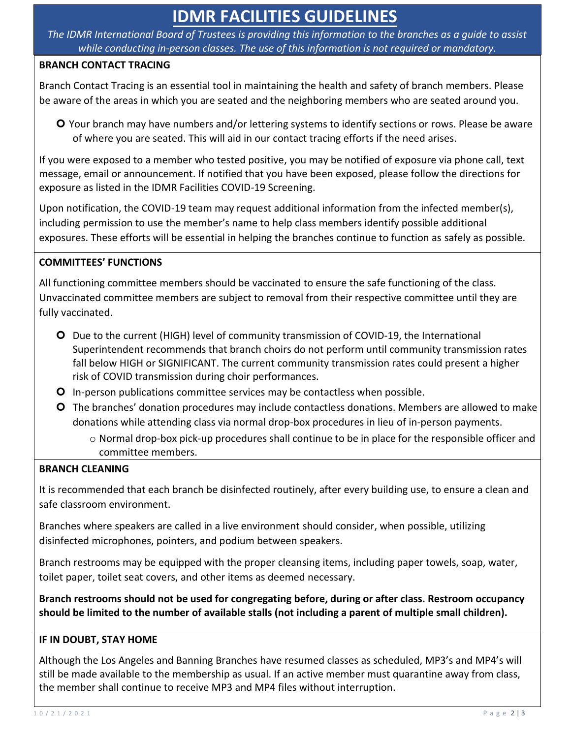# **IDMR FACILITIES GUIDELINES**

*The IDMR International Board of Trustees is providing this information to the branches as a guide to assist while conducting in-person classes. The use of this information is not required or mandatory.*

### **BRANCH CONTACT TRACING**

Branch Contact Tracing is an essential tool in maintaining the health and safety of branch members. Please be aware of the areas in which you are seated and the neighboring members who are seated around you.

 Your branch may have numbers and/or lettering systems to identify sections or rows. Please be aware of where you are seated. This will aid in our contact tracing efforts if the need arises.

If you were exposed to a member who tested positive, you may be notified of exposure via phone call, text message, email or announcement. If notified that you have been exposed, please follow the directions for exposure as listed in the IDMR Facilities COVID-19 Screening.

Upon notification, the COVID-19 team may request additional information from the infected member(s), including permission to use the member's name to help class members identify possible additional exposures. These efforts will be essential in helping the branches continue to function as safely as possible.

# **COMMITTEES' FUNCTIONS**

All functioning committee members should be vaccinated to ensure the safe functioning of the class. Unvaccinated committee members are subject to removal from their respective committee until they are fully vaccinated.

- Due to the current (HIGH) level of community transmission of COVID-19, the International Superintendent recommends that branch choirs do not perform until community transmission rates fall below HIGH or SIGNIFICANT. The current community transmission rates could present a higher risk of COVID transmission during choir performances.
- O In-person publications committee services may be contactless when possible.
- The branches' donation procedures may include contactless donations. Members are allowed to make donations while attending class via normal drop-box procedures in lieu of in-person payments.
	- o Normal drop-box pick-up procedures shall continue to be in place for the responsible officer and committee members.

### **BRANCH CLEANING**

It is recommended that each branch be disinfected routinely, after every building use, to ensure a clean and safe classroom environment.

Branches where speakers are called in a live environment should consider, when possible, utilizing disinfected microphones, pointers, and podium between speakers.

Branch restrooms may be equipped with the proper cleansing items, including paper towels, soap, water, toilet paper, toilet seat covers, and other items as deemed necessary.

**Branch restrooms should not be used for congregating before, during or after class. Restroom occupancy should be limited to the number of available stalls (not including a parent of multiple small children).** 

### **IF IN DOUBT, STAY HOME**

Although the Los Angeles and Banning Branches have resumed classes as scheduled, MP3's and MP4's will still be made available to the membership as usual. If an active member must quarantine away from class, the member shall continue to receive MP3 and MP4 files without interruption.